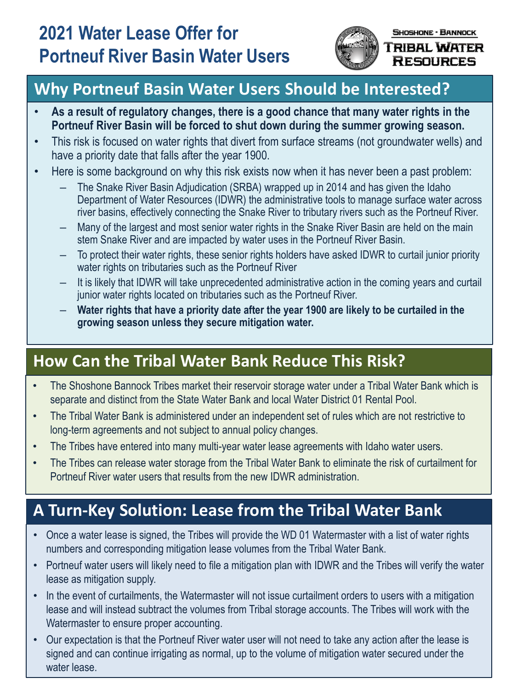

#### TRIBAL WATER **RESOURCES**

# **Why Portneuf Basin Water Users Should be Interested?**

- **As a result of regulatory changes, there is a good chance that many water rights in the Portneuf River Basin will be forced to shut down during the summer growing season.**
- This risk is focused on water rights that divert from surface streams (not groundwater wells) and have a priority date that falls after the year 1900.
- Here is some background on why this risk exists now when it has never been a past problem:
	- The Snake River Basin Adjudication (SRBA) wrapped up in 2014 and has given the Idaho Department of Water Resources (IDWR) the administrative tools to manage surface water across river basins, effectively connecting the Snake River to tributary rivers such as the Portneuf River.
	- Many of the largest and most senior water rights in the Snake River Basin are held on the main stem Snake River and are impacted by water uses in the Portneuf River Basin.
	- To protect their water rights, these senior rights holders have asked IDWR to curtail junior priority water rights on tributaries such as the Portneuf River
	- It is likely that IDWR will take unprecedented administrative action in the coming years and curtail junior water rights located on tributaries such as the Portneuf River.
	- **Water rights that have a priority date after the year 1900 are likely to be curtailed in the growing season unless they secure mitigation water.**

# **How Can the Tribal Water Bank Reduce This Risk?**

- The Shoshone Bannock Tribes market their reservoir storage water under a Tribal Water Bank which is separate and distinct from the State Water Bank and local Water District 01 Rental Pool.
- The Tribal Water Bank is administered under an independent set of rules which are not restrictive to long-term agreements and not subject to annual policy changes.
- The Tribes have entered into many multi-year water lease agreements with Idaho water users.
- The Tribes can release water storage from the Tribal Water Bank to eliminate the risk of curtailment for Portneuf River water users that results from the new IDWR administration.

# **A Turn-Key Solution: Lease from the Tribal Water Bank**

- Once a water lease is signed, the Tribes will provide the WD 01 Watermaster with a list of water rights numbers and corresponding mitigation lease volumes from the Tribal Water Bank.
- Portneuf water users will likely need to file a mitigation plan with IDWR and the Tribes will verify the water lease as mitigation supply.
- In the event of curtailments, the Watermaster will not issue curtailment orders to users with a mitigation lease and will instead subtract the volumes from Tribal storage accounts. The Tribes will work with the Watermaster to ensure proper accounting.
- Our expectation is that the Portneuf River water user will not need to take any action after the lease is signed and can continue irrigating as normal, up to the volume of mitigation water secured under the water lease.